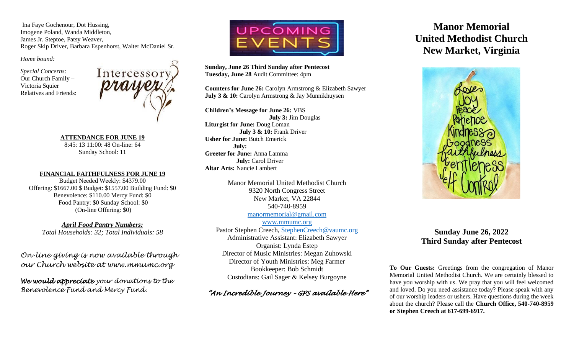Ina Faye Gochenour, Dot Hussing, Imogene Poland, Wanda Middleton, James Jr. Steptoe, Patsy Weaver, Roger Skip Driver, Barbara Espenhorst, Walter McDaniel Sr.

*Home bound:*

*Special Concerns:* Our Church Family – Victoria Squier Relatives and Friends:



**ATTENDANCE FOR JUNE 19** 8:45: 13 11:00: 48 On-line: 64 Sunday School: 11

#### **FINANCIAL FAITHFULNESS FOR JUNE 19**

Budget Needed Weekly: \$4379.00 Offering: \$1667.00 \$ Budget: \$1557.00 Building Fund: \$0 Benevolence: \$110.00 Mercy Fund: \$0 Food Pantry: \$0 Sunday School: \$0 (On-line Offering: \$0)

*April Food Pantry Numbers: Total Households: 32; Total Individuals: 58*

*On-line giving is now available through our Church website at www.mmumc.org*

*We would appreciate your donations to the Benevolence Fund and Mercy Fund.*



**Sunday, June 26 Third Sunday after Pentecost Tuesday, June 28** Audit Committee: 4pm

**Counters for June 26:** Carolyn Armstrong & Elizabeth Sawyer **July 3 & 10:** Carolyn Armstrong & Jay Munnikhuysen

**Children's Message for June 26:** VBS **July 3:** Jim Douglas **Liturgist for June:** Doug Loman **July 3 & 10:** Frank Driver **Usher for June:** Butch Emerick **July: Greeter for June:** Anna Lamma **July:** Carol Driver **Altar Arts:** Nancie Lambert

> Manor Memorial United Methodist Church 9320 North Congress Street New Market, VA 22844 540-740-8959 [manormemorial@gmail.com](mailto:manormemorial@gmail.com)

www.mmumc.org Pastor Stephen Creech, [StephenCreech@vaumc.org](mailto:StephenCreech@vaumc.org) Administrative Assistant: Elizabeth Sawyer Organist: Lynda Estep Director of Music Ministries: Megan Zuhowski Director of Youth Ministries: Meg Farmer Bookkeeper: Bob Schmidt Custodians: Gail Sager & Kelsey Burgoyne

## *"An Incredible Journey – GPS available Here"*

# **Manor Memorial United Methodist Church New Market, Virginia**



## **Sunday June 26, 2022 Third Sunday after Pentecost**

**To Our Guests:** Greetings from the congregation of Manor Memorial United Methodist Church. We are certainly blessed to have you worship with us. We pray that you will feel welcomed and loved. Do you need assistance today? Please speak with any of our worship leaders or ushers. Have questions during the week about the church? Please call the **Church Office, 540-740-8959 or Stephen Creech at 617-699-6917.**